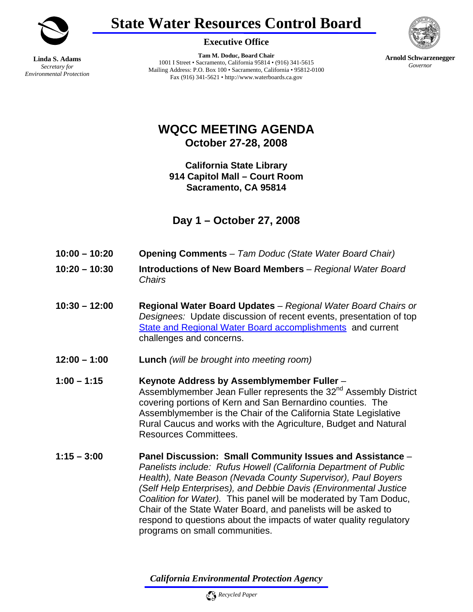

**State Water Resources Control Board** 



**Linda S. Adams**  *Secretary for Environmental Protection* **Executive Office** 

**Tam M. Doduc, Board Chair**  1001 I Street • Sacramento, California 95814 • (916) 341-5615 Mailing Address: P.O. Box 100 • Sacramento, California • 95812-0100 Fax (916) 341-5621 • http://www.waterboards.ca.gov

**Arnold Schwarzenegger** *Governor* 

**WQCC MEETING AGENDA October 27-28, 2008**

**California State Library 914 Capitol Mall – Court Room Sacramento, CA 95814** 

**Day 1 – October 27, 2008** 

- **10:00 10:20 Opening Comments**  *Tam Doduc (State Water Board Chair)*
- **10:20 10:30 Introductions of New Board Members**  *Regional Water Board Chairs*
- **10:30 12:00 Regional Water Board Updates**  *Regional Water Board Chairs or Designees:* Update discussion of recent events, presentation of top State and Regional Water Board accomplishments and current challenges and concerns.
- **12:00 1:00 Lunch** *(will be brought into meeting room)*
- **1:00 1:15 Keynote Address by Assemblymember Fuller** Assemblymember Jean Fuller represents the 32<sup>nd</sup> Assembly District covering portions of Kern and San Bernardino counties. The Assemblymember is the Chair of the California State Legislative Rural Caucus and works with the Agriculture, Budget and Natural Resources Committees.
- **1:15 3:00 Panel Discussion: Small Community Issues and Assistance** *Panelists include: Rufus Howell (California Department of Public Health), Nate Beason (Nevada County Supervisor), Paul Boyers (Self Help Enterprises), and Debbie Davis (Environmental Justice Coalition for Water).* This panel will be moderated by Tam Doduc, Chair of the State Water Board, and panelists will be asked to respond to questions about the impacts of water quality regulatory programs on small communities.

*California Environmental Protection Agency*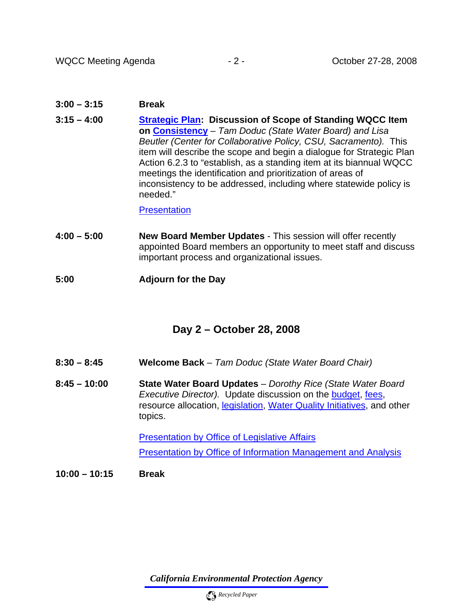## **3:00 – 3:15 Break**

**3:15 – 4:00 Strategic Plan: Discussion of Scope of Standing WQCC Item on Consistency** *– Tam Doduc (State Water Board) and Lisa Beutler (Center for Collaborative Policy, CSU, Sacramento).* This item will describe the scope and begin a dialogue for Strategic Plan Action 6.2.3 to "establish, as a standing item at its biannual WQCC meetings the identification and prioritization of areas of inconsistency to be addressed, including where statewide policy is needed."

## **Presentation**

- **4:00 5:00 New Board Member Updates** This session will offer recently appointed Board members an opportunity to meet staff and discuss important process and organizational issues.
- **5:00 Adjourn for the Day**

## **Day 2 – October 28, 2008**

- **8:30 8:45 Welcome Back**  *Tam Doduc (State Water Board Chair)*
- **8:45 10:00 State Water Board Updates**  *Dorothy Rice (State Water Board Executive Director).* Update discussion on the budget, fees, resource allocation, legislation, [Water Quality Initiatives](http://www.waterboards.ca.gov/press_room/press_releases/2008/08_calepa.shtml), and other topics.

Presentation by Office of Legislative Affairs

Presentation by Office of Information Management and Analysis

**10:00 – 10:15 Break** 

*California Environmental Protection Agency*